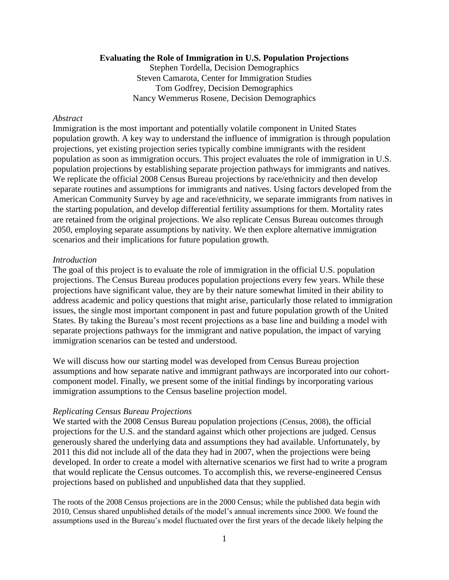### **Evaluating the Role of Immigration in U.S. Population Projections**

Stephen Tordella, Decision Demographics Steven Camarota, Center for Immigration Studies Tom Godfrey, Decision Demographics Nancy Wemmerus Rosene, Decision Demographics

### *Abstract*

Immigration is the most important and potentially volatile component in United States population growth. A key way to understand the influence of immigration is through population projections, yet existing projection series typically combine immigrants with the resident population as soon as immigration occurs. This project evaluates the role of immigration in U.S. population projections by establishing separate projection pathways for immigrants and natives. We replicate the official 2008 Census Bureau projections by race/ethnicity and then develop separate routines and assumptions for immigrants and natives. Using factors developed from the American Community Survey by age and race/ethnicity, we separate immigrants from natives in the starting population, and develop differential fertility assumptions for them. Mortality rates are retained from the original projections. We also replicate Census Bureau outcomes through 2050, employing separate assumptions by nativity. We then explore alternative immigration scenarios and their implications for future population growth.

#### *Introduction*

The goal of this project is to evaluate the role of immigration in the official U.S. population projections. The Census Bureau produces population projections every few years. While these projections have significant value, they are by their nature somewhat limited in their ability to address academic and policy questions that might arise, particularly those related to immigration issues, the single most important component in past and future population growth of the United States. By taking the Bureau's most recent projections as a base line and building a model with separate projections pathways for the immigrant and native population, the impact of varying immigration scenarios can be tested and understood.

We will discuss how our starting model was developed from Census Bureau projection assumptions and how separate native and immigrant pathways are incorporated into our cohortcomponent model. Finally, we present some of the initial findings by incorporating various immigration assumptions to the Census baseline projection model.

### *Replicating Census Bureau Projections*

We started with the 2008 Census Bureau population projections (Census, 2008), the official projections for the U.S. and the standard against which other projections are judged. Census generously shared the underlying data and assumptions they had available. Unfortunately, by 2011 this did not include all of the data they had in 2007, when the projections were being developed. In order to create a model with alternative scenarios we first had to write a program that would replicate the Census outcomes. To accomplish this, we reverse-engineered Census projections based on published and unpublished data that they supplied.

The roots of the 2008 Census projections are in the 2000 Census; while the published data begin with 2010, Census shared unpublished details of the model's annual increments since 2000. We found the assumptions used in the Bureau's model fluctuated over the first years of the decade likely helping the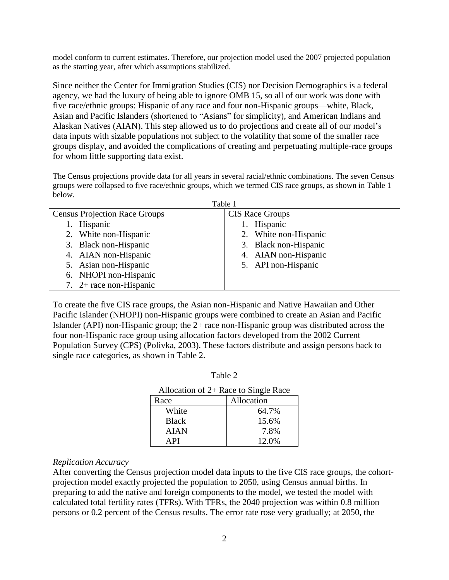model conform to current estimates. Therefore, our projection model used the 2007 projected population as the starting year, after which assumptions stabilized.

Since neither the Center for Immigration Studies (CIS) nor Decision Demographics is a federal agency, we had the luxury of being able to ignore OMB 15, so all of our work was done with five race/ethnic groups: Hispanic of any race and four non-Hispanic groups—white, Black, Asian and Pacific Islanders (shortened to "Asians" for simplicity), and American Indians and Alaskan Natives (AIAN). This step allowed us to do projections and create all of our model's data inputs with sizable populations not subject to the volatility that some of the smaller race groups display, and avoided the complications of creating and perpetuating multiple-race groups for whom little supporting data exist.

The Census projections provide data for all years in several racial/ethnic combinations. The seven Census groups were collapsed to five race/ethnic groups, which we termed CIS race groups, as shown in Table 1 below.  $T_1$  1 1 1

| Table 1                              |                        |  |  |  |  |
|--------------------------------------|------------------------|--|--|--|--|
| <b>Census Projection Race Groups</b> | <b>CIS Race Groups</b> |  |  |  |  |
| Hispanic                             | Hispanic               |  |  |  |  |
| 2. White non-Hispanic                | 2. White non-Hispanic  |  |  |  |  |
| 3. Black non-Hispanic                | 3. Black non-Hispanic  |  |  |  |  |
| 4. AIAN non-Hispanic                 | 4. AIAN non-Hispanic   |  |  |  |  |
| 5. Asian non-Hispanic                | 5. API non-Hispanic    |  |  |  |  |
| 6. NHOPI non-Hispanic                |                        |  |  |  |  |
| 7. $2+$ race non-Hispanic            |                        |  |  |  |  |

To create the five CIS race groups, the Asian non-Hispanic and Native Hawaiian and Other Pacific Islander (NHOPI) non-Hispanic groups were combined to create an Asian and Pacific Islander (API) non-Hispanic group; the 2+ race non-Hispanic group was distributed across the four non-Hispanic race group using allocation factors developed from the 2002 Current Population Survey (CPS) (Polivka, 2003). These factors distribute and assign persons back to single race categories, as shown in Table 2.

| г<br>H<br>۳ı<br>v. |  |
|--------------------|--|
|--------------------|--|

| Race         | Allocation |
|--------------|------------|
| White        | 64.7%      |
| <b>Black</b> | 15.6%      |
| <b>AIAN</b>  | 7.8%       |
| <b>API</b>   | 12.0%      |

### *Replication Accuracy*

After converting the Census projection model data inputs to the five CIS race groups, the cohortprojection model exactly projected the population to 2050, using Census annual births. In preparing to add the native and foreign components to the model, we tested the model with calculated total fertility rates (TFRs). With TFRs, the 2040 projection was within 0.8 million persons or 0.2 percent of the Census results. The error rate rose very gradually; at 2050, the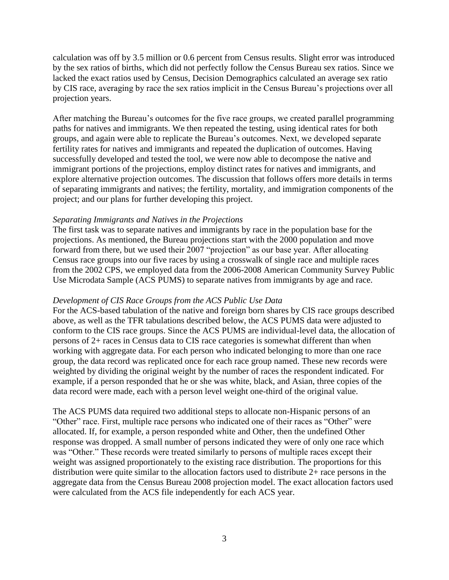calculation was off by 3.5 million or 0.6 percent from Census results. Slight error was introduced by the sex ratios of births, which did not perfectly follow the Census Bureau sex ratios. Since we lacked the exact ratios used by Census, Decision Demographics calculated an average sex ratio by CIS race, averaging by race the sex ratios implicit in the Census Bureau's projections over all projection years.

After matching the Bureau's outcomes for the five race groups, we created parallel programming paths for natives and immigrants. We then repeated the testing, using identical rates for both groups, and again were able to replicate the Bureau's outcomes. Next, we developed separate fertility rates for natives and immigrants and repeated the duplication of outcomes. Having successfully developed and tested the tool, we were now able to decompose the native and immigrant portions of the projections, employ distinct rates for natives and immigrants, and explore alternative projection outcomes. The discussion that follows offers more details in terms of separating immigrants and natives; the fertility, mortality, and immigration components of the project; and our plans for further developing this project.

### *Separating Immigrants and Natives in the Projections*

The first task was to separate natives and immigrants by race in the population base for the projections. As mentioned, the Bureau projections start with the 2000 population and move forward from there, but we used their 2007 "projection" as our base year. After allocating Census race groups into our five races by using a crosswalk of single race and multiple races from the 2002 CPS, we employed data from the 2006-2008 American Community Survey Public Use Microdata Sample (ACS PUMS) to separate natives from immigrants by age and race.

### *Development of CIS Race Groups from the ACS Public Use Data*

For the ACS-based tabulation of the native and foreign born shares by CIS race groups described above, as well as the TFR tabulations described below, the ACS PUMS data were adjusted to conform to the CIS race groups. Since the ACS PUMS are individual-level data, the allocation of persons of 2+ races in Census data to CIS race categories is somewhat different than when working with aggregate data. For each person who indicated belonging to more than one race group, the data record was replicated once for each race group named. These new records were weighted by dividing the original weight by the number of races the respondent indicated. For example, if a person responded that he or she was white, black, and Asian, three copies of the data record were made, each with a person level weight one-third of the original value.

The ACS PUMS data required two additional steps to allocate non-Hispanic persons of an "Other" race. First, multiple race persons who indicated one of their races as "Other" were allocated. If, for example, a person responded white and Other, then the undefined Other response was dropped. A small number of persons indicated they were of only one race which was "Other." These records were treated similarly to persons of multiple races except their weight was assigned proportionately to the existing race distribution. The proportions for this distribution were quite similar to the allocation factors used to distribute 2+ race persons in the aggregate data from the Census Bureau 2008 projection model. The exact allocation factors used were calculated from the ACS file independently for each ACS year.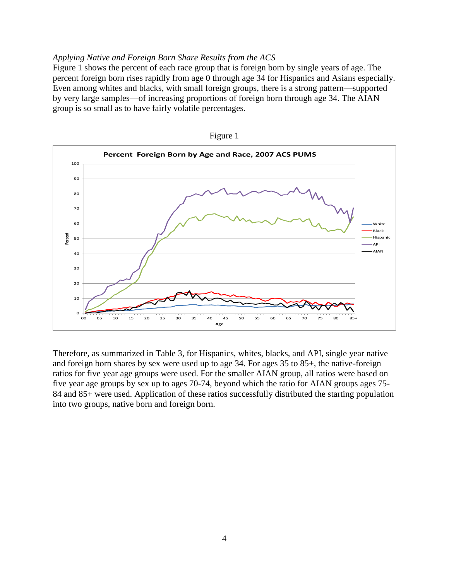### *Applying Native and Foreign Born Share Results from the ACS*

Figure 1 shows the percent of each race group that is foreign born by single years of age. The percent foreign born rises rapidly from age 0 through age 34 for Hispanics and Asians especially. Even among whites and blacks, with small foreign groups, there is a strong pattern—supported by very large samples—of increasing proportions of foreign born through age 34. The AIAN group is so small as to have fairly volatile percentages.





Therefore, as summarized in Table 3, for Hispanics, whites, blacks, and API, single year native and foreign born shares by sex were used up to age 34. For ages 35 to 85+, the native-foreign ratios for five year age groups were used. For the smaller AIAN group, all ratios were based on five year age groups by sex up to ages 70-74, beyond which the ratio for AIAN groups ages 75- 84 and 85+ were used. Application of these ratios successfully distributed the starting population into two groups, native born and foreign born.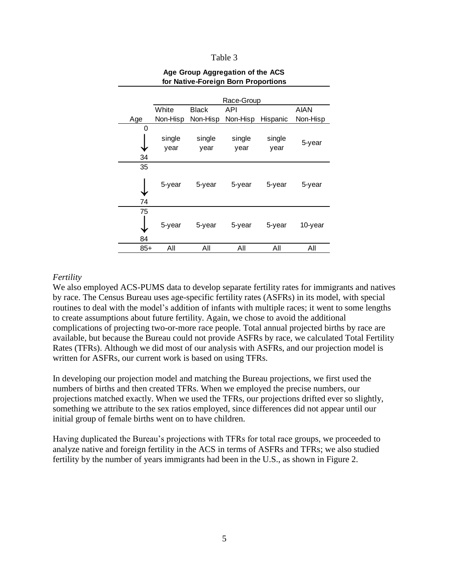#### Table 3

|          |          | Race-Group   |          |          |             |  |  |
|----------|----------|--------------|----------|----------|-------------|--|--|
|          | White    | <b>Black</b> | API      |          | <b>AIAN</b> |  |  |
| Age      | Non-Hisp | Non-Hisp     | Non-Hisp | Hispanic | Non-Hisp    |  |  |
| 0        |          |              |          |          |             |  |  |
|          | single   | single       | single   | single   |             |  |  |
|          | year     | year         | year     | year     | 5-year      |  |  |
| 34       |          |              |          |          |             |  |  |
| 35       |          |              |          |          |             |  |  |
|          | 5-year   | 5-year       | 5-year   | 5-year   | 5-year      |  |  |
| 74       |          |              |          |          |             |  |  |
| 75<br>84 | 5-year   | 5-year       | 5-year   | 5-year   | 10-year     |  |  |
| 85+      | Αll      | All          | All      | All      | All         |  |  |

### **Age Group Aggregation of the ACS for Native-Foreign Born Proportions**

### *Fertility*

We also employed ACS-PUMS data to develop separate fertility rates for immigrants and natives by race. The Census Bureau uses age-specific fertility rates (ASFRs) in its model, with special routines to deal with the model's addition of infants with multiple races; it went to some lengths to create assumptions about future fertility. Again, we chose to avoid the additional complications of projecting two-or-more race people. Total annual projected births by race are available, but because the Bureau could not provide ASFRs by race, we calculated Total Fertility Rates (TFRs). Although we did most of our analysis with ASFRs, and our projection model is written for ASFRs, our current work is based on using TFRs.

In developing our projection model and matching the Bureau projections, we first used the numbers of births and then created TFRs. When we employed the precise numbers, our projections matched exactly. When we used the TFRs, our projections drifted ever so slightly, something we attribute to the sex ratios employed, since differences did not appear until our initial group of female births went on to have children.

Having duplicated the Bureau's projections with TFRs for total race groups, we proceeded to analyze native and foreign fertility in the ACS in terms of ASFRs and TFRs; we also studied fertility by the number of years immigrants had been in the U.S., as shown in Figure 2.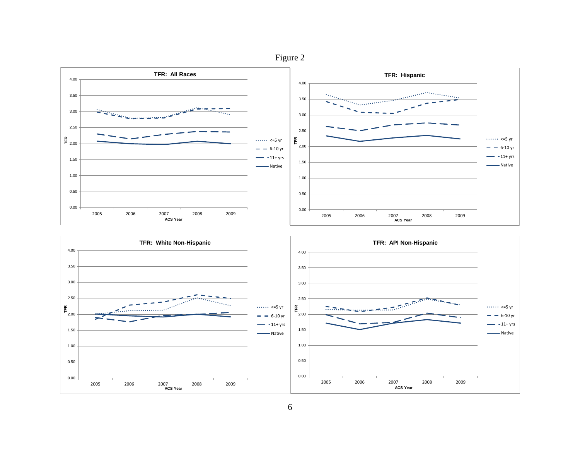



6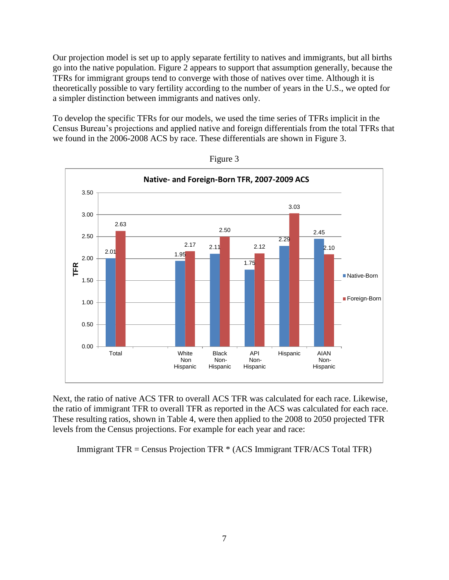Our projection model is set up to apply separate fertility to natives and immigrants, but all births go into the native population. Figure 2 appears to support that assumption generally, because the TFRs for immigrant groups tend to converge with those of natives over time. Although it is theoretically possible to vary fertility according to the number of years in the U.S., we opted for a simpler distinction between immigrants and natives only.

To develop the specific TFRs for our models, we used the time series of TFRs implicit in the Census Bureau's projections and applied native and foreign differentials from the total TFRs that we found in the 2006-2008 ACS by race. These differentials are shown in Figure 3.



Figure 3

Next, the ratio of native ACS TFR to overall ACS TFR was calculated for each race. Likewise, the ratio of immigrant TFR to overall TFR as reported in the ACS was calculated for each race. These resulting ratios, shown in Table 4, were then applied to the 2008 to 2050 projected TFR levels from the Census projections. For example for each year and race:

Immigrant TFR = Census Projection TFR \* (ACS Immigrant TFR/ACS Total TFR)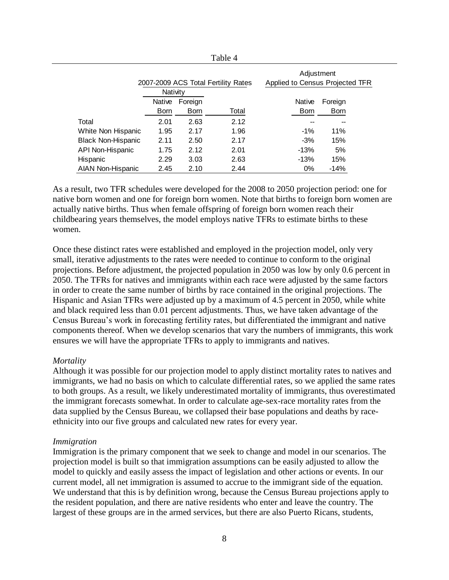|                           |                                     |             | Table 4 |                                 |             |
|---------------------------|-------------------------------------|-------------|---------|---------------------------------|-------------|
|                           |                                     |             |         | Adjustment                      |             |
|                           | 2007-2009 ACS Total Fertility Rates |             |         | Applied to Census Projected TFR |             |
|                           | Nativity                            |             |         |                                 |             |
|                           | Native                              | Foreign     |         | Native                          | Foreign     |
|                           | Born                                | <b>Born</b> | Total   | <b>Born</b>                     | <b>Born</b> |
| Total                     | 2.01                                | 2.63        | 2.12    |                                 |             |
| White Non Hispanic        | 1.95                                | 2.17        | 1.96    | $-1\%$                          | 11%         |
| <b>Black Non-Hispanic</b> | 2.11                                | 2.50        | 2.17    | $-3%$                           | 15%         |
| API Non-Hispanic          | 1.75                                | 2.12        | 2.01    | $-13%$                          | 5%          |
| Hispanic                  | 2.29                                | 3.03        | 2.63    | $-13%$                          | 15%         |
| <b>AIAN Non-Hispanic</b>  | 2.45                                | 2.10        | 2.44    | $0\%$                           | $-14%$      |

As a result, two TFR schedules were developed for the 2008 to 2050 projection period: one for native born women and one for foreign born women. Note that births to foreign born women are actually native births. Thus when female offspring of foreign born women reach their childbearing years themselves, the model employs native TFRs to estimate births to these women.

Once these distinct rates were established and employed in the projection model, only very small, iterative adjustments to the rates were needed to continue to conform to the original projections. Before adjustment, the projected population in 2050 was low by only 0.6 percent in 2050. The TFRs for natives and immigrants within each race were adjusted by the same factors in order to create the same number of births by race contained in the original projections. The Hispanic and Asian TFRs were adjusted up by a maximum of 4.5 percent in 2050, while white and black required less than 0.01 percent adjustments. Thus, we have taken advantage of the Census Bureau's work in forecasting fertility rates, but differentiated the immigrant and native components thereof. When we develop scenarios that vary the numbers of immigrants, this work ensures we will have the appropriate TFRs to apply to immigrants and natives.

#### *Mortality*

Although it was possible for our projection model to apply distinct mortality rates to natives and immigrants, we had no basis on which to calculate differential rates, so we applied the same rates to both groups. As a result, we likely underestimated mortality of immigrants, thus overestimated the immigrant forecasts somewhat. In order to calculate age-sex-race mortality rates from the data supplied by the Census Bureau, we collapsed their base populations and deaths by raceethnicity into our five groups and calculated new rates for every year.

#### *Immigration*

Immigration is the primary component that we seek to change and model in our scenarios. The projection model is built so that immigration assumptions can be easily adjusted to allow the model to quickly and easily assess the impact of legislation and other actions or events. In our current model, all net immigration is assumed to accrue to the immigrant side of the equation. We understand that this is by definition wrong, because the Census Bureau projections apply to the resident population, and there are native residents who enter and leave the country. The largest of these groups are in the armed services, but there are also Puerto Ricans, students,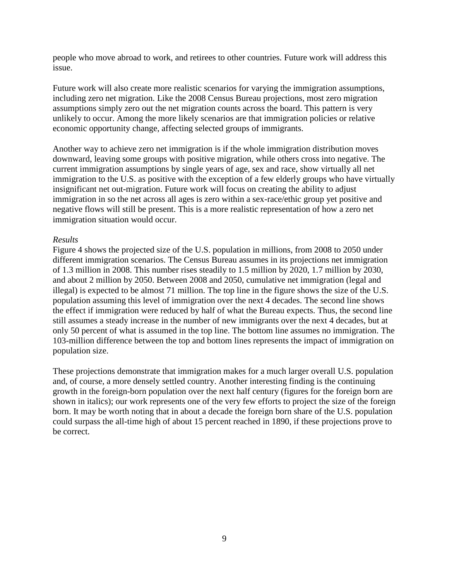people who move abroad to work, and retirees to other countries. Future work will address this issue.

Future work will also create more realistic scenarios for varying the immigration assumptions, including zero net migration. Like the 2008 Census Bureau projections, most zero migration assumptions simply zero out the net migration counts across the board. This pattern is very unlikely to occur. Among the more likely scenarios are that immigration policies or relative economic opportunity change, affecting selected groups of immigrants.

Another way to achieve zero net immigration is if the whole immigration distribution moves downward, leaving some groups with positive migration, while others cross into negative. The current immigration assumptions by single years of age, sex and race, show virtually all net immigration to the U.S. as positive with the exception of a few elderly groups who have virtually insignificant net out-migration. Future work will focus on creating the ability to adjust immigration in so the net across all ages is zero within a sex-race/ethic group yet positive and negative flows will still be present. This is a more realistic representation of how a zero net immigration situation would occur.

### *Results*

Figure 4 shows the projected size of the U.S. population in millions, from 2008 to 2050 under different immigration scenarios. The Census Bureau assumes in its projections net immigration of 1.3 million in 2008. This number rises steadily to 1.5 million by 2020, 1.7 million by 2030, and about 2 million by 2050. Between 2008 and 2050, cumulative net immigration (legal and illegal) is expected to be almost 71 million. The top line in the figure shows the size of the U.S. population assuming this level of immigration over the next 4 decades. The second line shows the effect if immigration were reduced by half of what the Bureau expects. Thus, the second line still assumes a steady increase in the number of new immigrants over the next 4 decades, but at only 50 percent of what is assumed in the top line. The bottom line assumes no immigration. The 103-million difference between the top and bottom lines represents the impact of immigration on population size.

These projections demonstrate that immigration makes for a much larger overall U.S. population and, of course, a more densely settled country. Another interesting finding is the continuing growth in the foreign-born population over the next half century (figures for the foreign born are shown in italics); our work represents one of the very few efforts to project the size of the foreign born. It may be worth noting that in about a decade the foreign born share of the U.S. population could surpass the all-time high of about 15 percent reached in 1890, if these projections prove to be correct.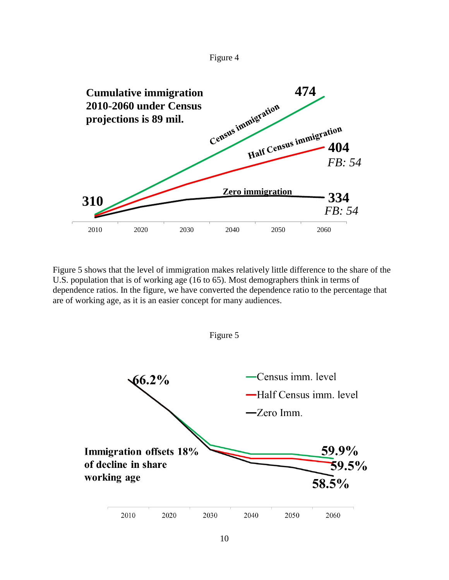



Figure 5 shows that the level of immigration makes relatively little difference to the share of the U.S. population that is of working age (16 to 65). Most demographers think in terms of dependence ratios. In the figure, we have converted the dependence ratio to the percentage that are of working age, as it is an easier concept for many audiences.



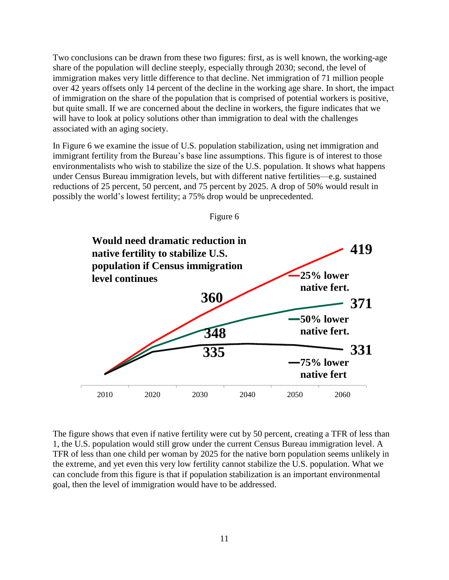Two conclusions can be drawn from these two figures: first, as is well known, the working-age share of the population will decline steeply, especially through 2030; second, the level of immigration makes very little difference to that decline. Net immigration of 71 million people over 42 years offsets only 14 percent of the decline in the working age share. In short, the impact of immigration on the share of the population that is comprised of potential workers is positive, but quite small. If we are concerned about the decline in workers, the figure indicates that we will have to look at policy solutions other than immigration to deal with the challenges associated with an aging society.

In Figure 6 we examine the issue of U.S. population stabilization, using net immigration and immigrant fertility from the Bureau's base line assumptions. This figure is of interest to those environmentalists who wish to stabilize the size of the U.S. population. It shows what happens under Census Bureau immigration levels, but with different native fertilities—e.g. sustained reductions of 25 percent, 50 percent, and 75 percent by 2025. A drop of 50% would result in possibly the world's lowest fertility; a 75% drop would be unprecedented.



Figure 6

The figure shows that even if native fertility were cut by 50 percent, creating a TFR of less than 1, the U.S. population would still grow under the current Census Bureau immigration level. A TFR of less than one child per woman by 2025 for the native born population seems unlikely in the extreme, and yet even this very low fertility cannot stabilize the U.S. population. What we can conclude from this figure is that if population stabilization is an important environmental goal, then the level of immigration would have to be addressed.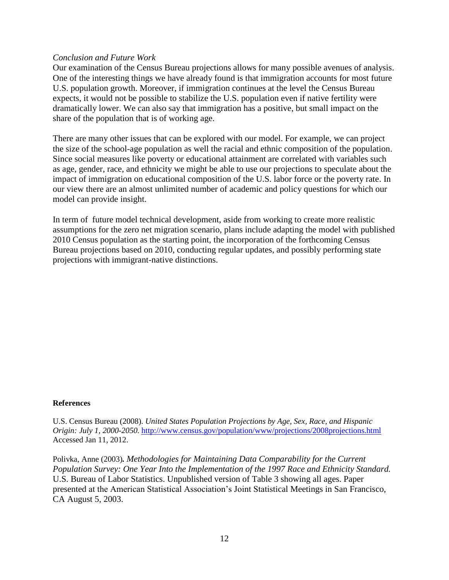### *Conclusion and Future Work*

Our examination of the Census Bureau projections allows for many possible avenues of analysis. One of the interesting things we have already found is that immigration accounts for most future U.S. population growth. Moreover, if immigration continues at the level the Census Bureau expects, it would not be possible to stabilize the U.S. population even if native fertility were dramatically lower. We can also say that immigration has a positive, but small impact on the share of the population that is of working age.

There are many other issues that can be explored with our model. For example, we can project the size of the school-age population as well the racial and ethnic composition of the population. Since social measures like poverty or educational attainment are correlated with variables such as age, gender, race, and ethnicity we might be able to use our projections to speculate about the impact of immigration on educational composition of the U.S. labor force or the poverty rate. In our view there are an almost unlimited number of academic and policy questions for which our model can provide insight.

In term of future model technical development, aside from working to create more realistic assumptions for the zero net migration scenario, plans include adapting the model with published 2010 Census population as the starting point, the incorporation of the forthcoming Census Bureau projections based on 2010, conducting regular updates, and possibly performing state projections with immigrant-native distinctions.

### **References**

U.S. Census Bureau (2008). *United States Population Projections by Age, Sex, Race, and Hispanic Origin: July 1, 2000-2050.* <http://www.census.gov/population/www/projections/2008projections.html> Accessed Jan 11, 2012.

Polivka, Anne (2003)*. Methodologies for Maintaining Data Comparability for the Current Population Survey: One Year Into the Implementation of the 1997 Race and Ethnicity Standard.*  U.S. Bureau of Labor Statistics. Unpublished version of Table 3 showing all ages. Paper presented at the American Statistical Association's Joint Statistical Meetings in San Francisco, CA August 5, 2003.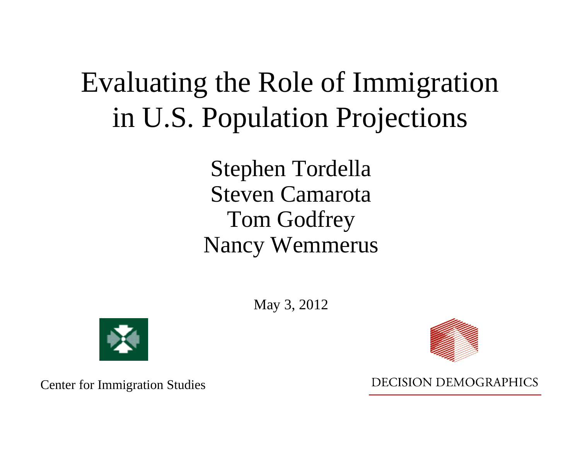## Evaluating the Role of Immigration in U.S. Population Projections

Stephen Tordella Steven CamarotaTom Godfrey Nancy Wemmerus

May 3, 2012



Center for Immigration Studies



**DECISION DEMOGRAPHICS**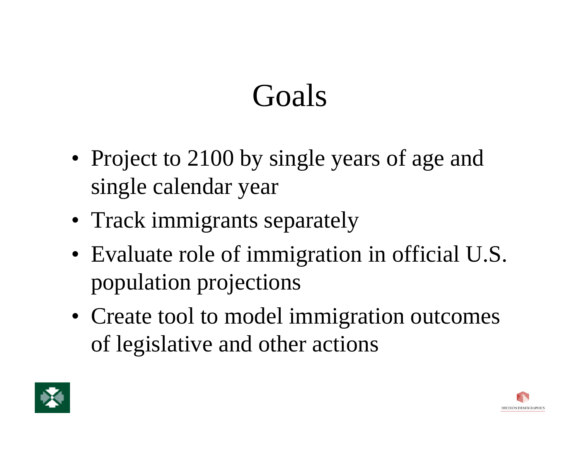# Goals

- Project to 2100 by single years of age and single calendar year
- Track immigrants separately
- Evaluate role of immigration in official U.S. population projections
- Create tool to model immigration outcomes of legislative and other actions



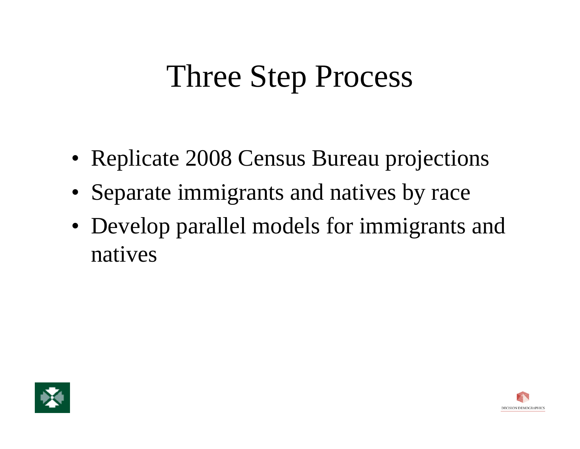# Three Step Process

- Replicate 2008 Census Bureau projections
- Separate immigrants and natives by race
- Develop parallel models for immigrants and natives



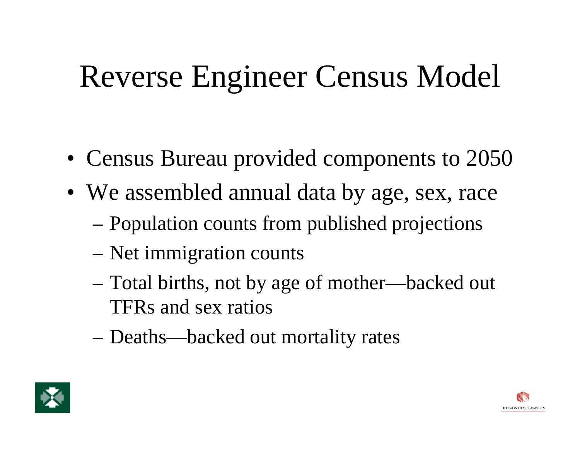# Reverse Engineer Census Model

- Census Bureau provided components to 2050
- We assembled annual data by age, sex, race
	- Population counts from published projections
	- Net immigration counts
	- Total births, not by age of mother—backed out TFRs and sex ratios
	- Deaths—backed out mortality rates



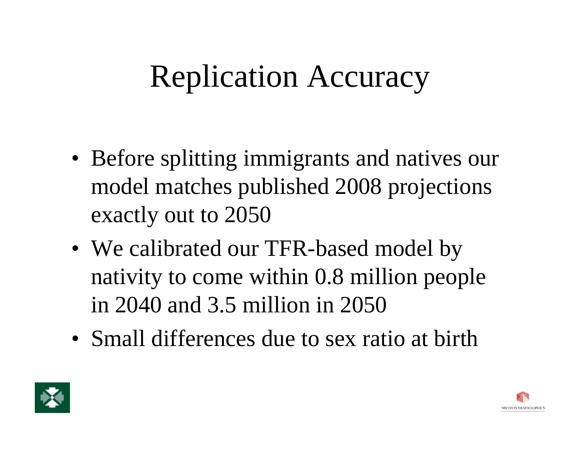# Replication Accuracy

- Before splitting immigrants and natives our model matches published 2008 projections exactly out to 2050
- We calibrated our TFR-based model by nativity to come within 0.8 million people in 2040 and 3.5 million in 2050
- Small differences due to sex ratio at birth



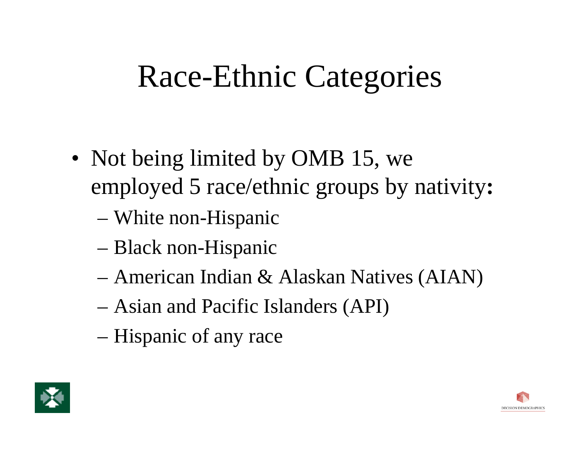# Race-Ethnic Categories

- Not being limited by OMB 15, we employed 5 race/ethnic groups by nativity **:**
	- White non-Hispanic
	- Black non-Hispanic
	- American Indian & Alaskan Natives (AIAN)
	- Asian and Pacific Islanders (API)
	- Hispanic of any race



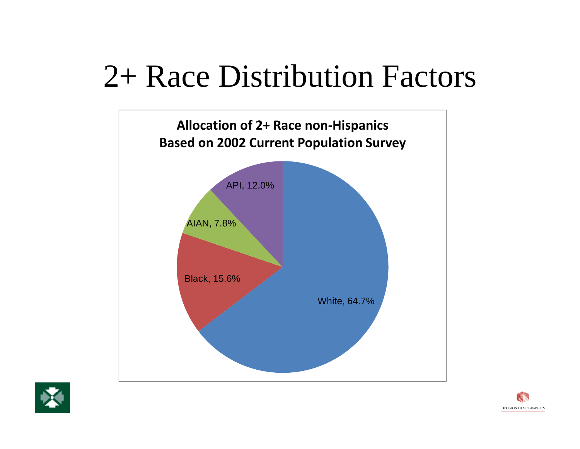# 2+ Race Distribution Factors





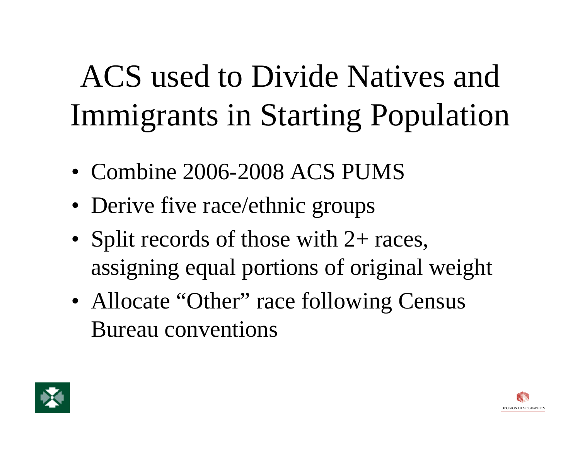# ACS used to Divide Natives and Immigrants in Starting Population

- Combine 2006-2008 ACS PUMS
- Derive five race/ethnic groups
- Split records of those with 2+ races, assigning equal portions of original weight
- Allocate "Other" race following Census Bureau conventions



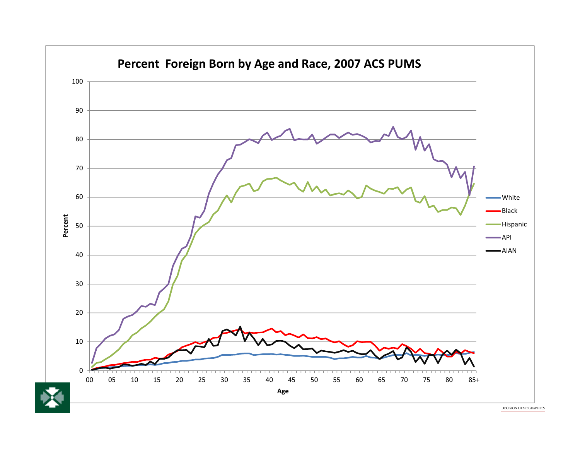

DECISION DEMOGRAPHICS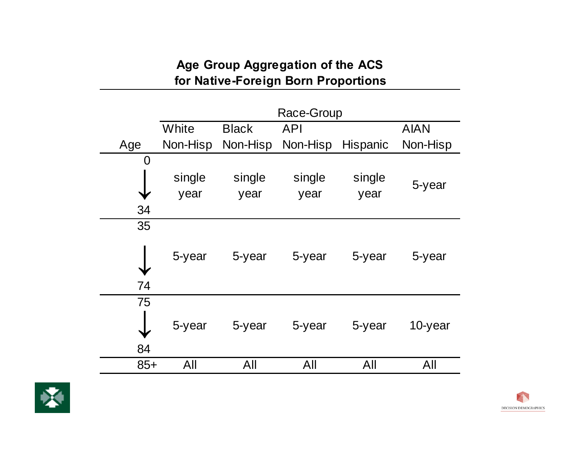### **Age Group Aggregation of the ACS for Native-Foreign Born Proportions**

|       | Race-Group |              |            |          |             |
|-------|------------|--------------|------------|----------|-------------|
|       | White      | <b>Black</b> | <b>API</b> |          | <b>AIAN</b> |
| Age   | Non-Hisp   | Non-Hisp     | Non-Hisp   | Hispanic | Non-Hisp    |
| 0     |            |              |            |          |             |
|       | single     | single       | single     | single   |             |
|       | year       | year         | year       | year     | 5-year      |
| 34    |            |              |            |          |             |
| 35    |            |              |            |          |             |
|       | 5-year     | 5-year       | 5-year     | 5-year   | 5-year      |
| 74    |            |              |            |          |             |
| 75    |            |              |            |          |             |
|       | 5-year     | 5-year       | 5-year     | 5-year   | 10-year     |
| 84    |            |              |            |          |             |
| $85+$ | All        | All          | All        | All      | All         |

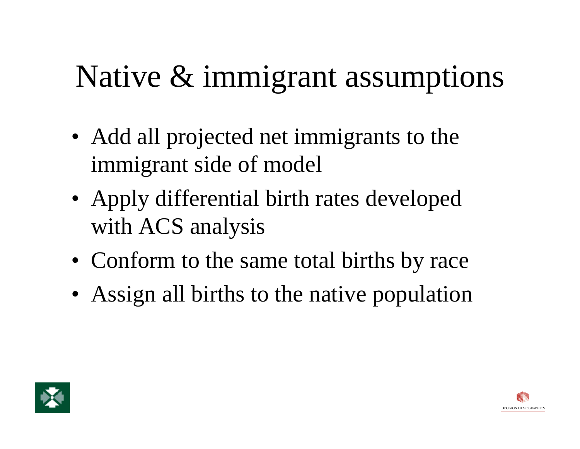# Native & immigrant assumptions

- Add all projected net immigrants to the immigrant side of model
- Apply differential birth rates developed with ACS analysis
- Conform to the same total births by race
- Assign all births to the native population



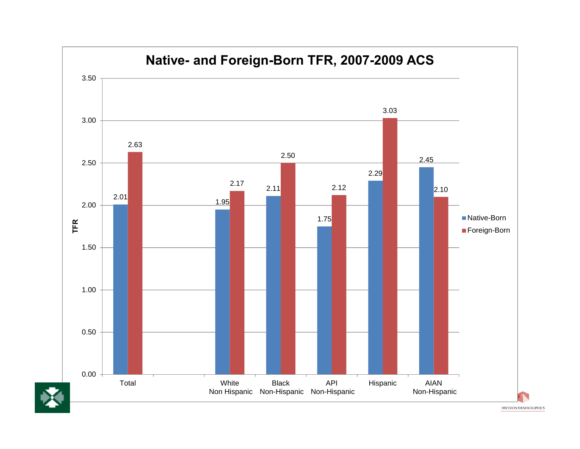

DECISION DEMOGRAPHICS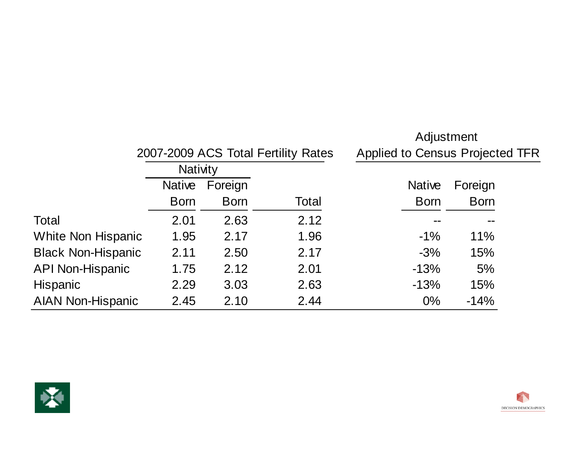|                           |                 |             |                                     | Adjustment                             |             |  |
|---------------------------|-----------------|-------------|-------------------------------------|----------------------------------------|-------------|--|
|                           |                 |             | 2007-2009 ACS Total Fertility Rates | <b>Applied to Census Projected TFR</b> |             |  |
|                           | <b>Nativity</b> |             |                                     |                                        |             |  |
|                           | <b>Native</b>   | Foreign     |                                     | <b>Native</b>                          | Foreign     |  |
|                           | <b>Born</b>     | <b>Born</b> | Total                               | <b>Born</b>                            | <b>Born</b> |  |
| Total                     | 2.01            | 2.63        | 2.12                                |                                        |             |  |
| <b>White Non Hispanic</b> | 1.95            | 2.17        | 1.96                                | $-1\%$                                 | 11%         |  |
| <b>Black Non-Hispanic</b> | 2.11            | 2.50        | 2.17                                | $-3%$                                  | 15%         |  |
| <b>API Non-Hispanic</b>   | 1.75            | 2.12        | 2.01                                | $-13%$                                 | 5%          |  |
| <b>Hispanic</b>           | 2.29            | 3.03        | 2.63                                | $-13%$                                 | 15%         |  |
| <b>AIAN Non-Hispanic</b>  | 2.45            | 2.10        | 2.44                                | $0\%$                                  | $-14%$      |  |



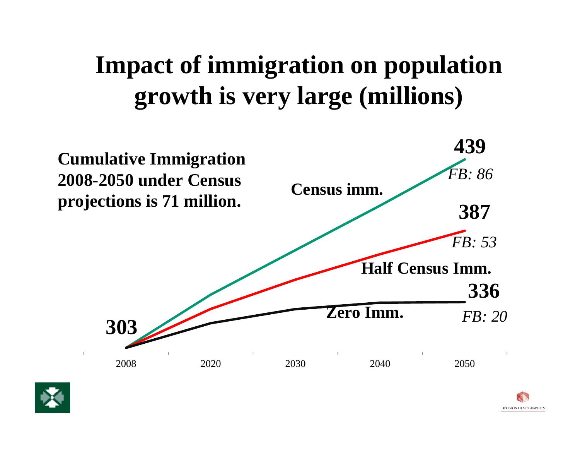### **Impact of immigration on population growth is very large (millions)**





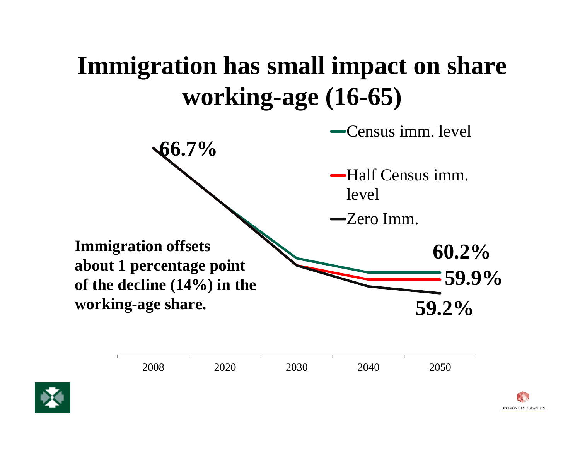### **Immigration has small impact on share working-age (16-65)**

**60.2%59.9%66.7% 59.2%**Census imm. level Half Census imm. level Zero Imm.**Immigration offsets about 1 percentage point of the decline (14%) in the working-age share.**



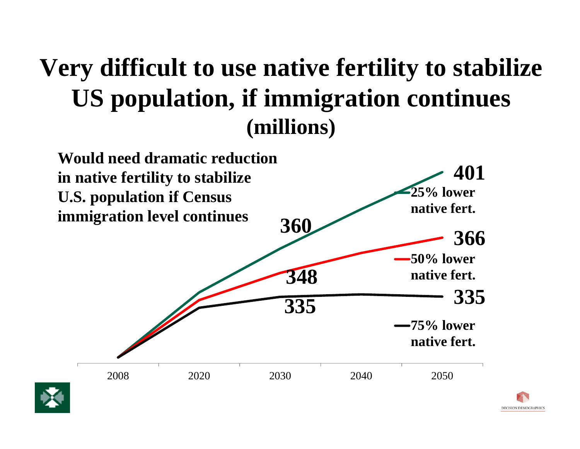### **Very difficult to use native fertility to stabilize US population, if immigration continues (millions)**